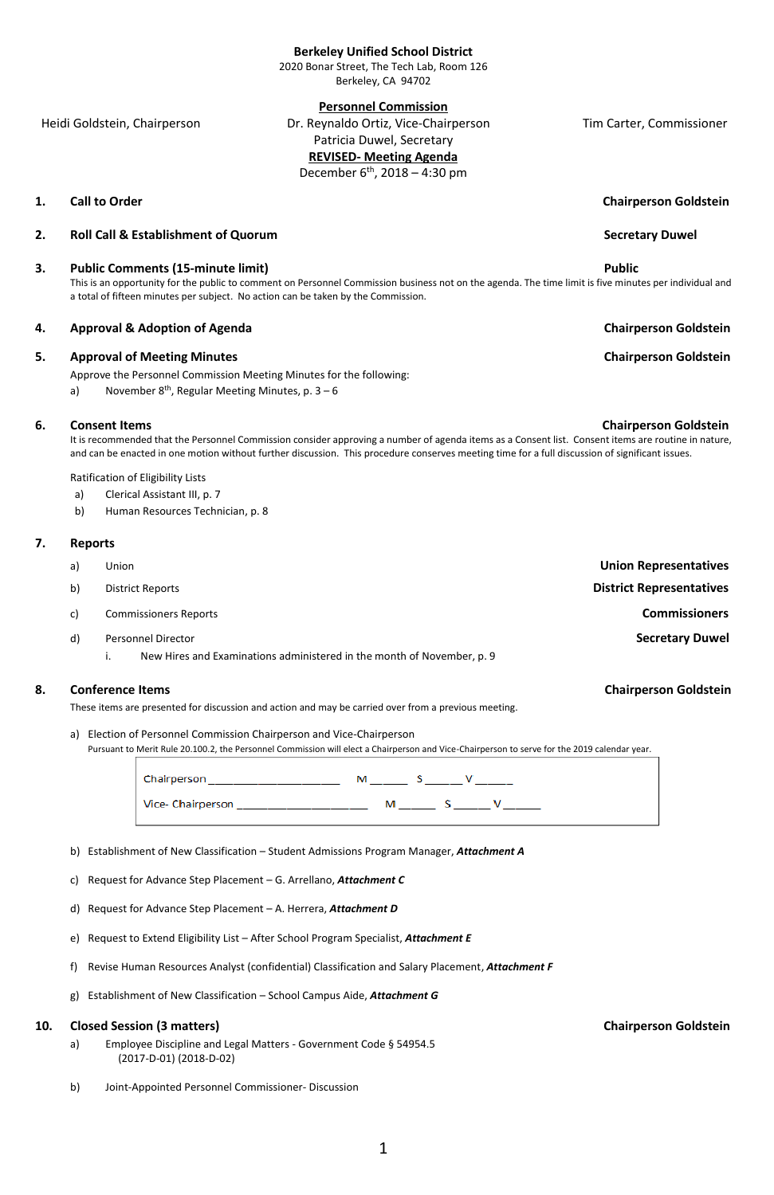# **8.** Conference Items **Chairperson Goldstein Chairperson Goldstein**

### **Berkeley Unified School District**

2020 Bonar Street, The Tech Lab, Room 126 Berkeley, CA 94702

# **Personnel Commission**

 Heidi Goldstein, Chairperson Dr. Reynaldo Ortiz, Vice-Chairperson Tim Carter, Commissioner Patricia Duwel, Secretary **REVISED- Meeting Agenda**

December 6<sup>th</sup>, 2018 – 4:30 pm

### **2. Roll Call & Establishment of Quorum** Secretary Duwel

### **3.** Public Comments (15-minute limit) **Public Public**

This is an opportunity for the public to comment on Personnel Commission business not on the agenda. The time limit is five minutes per individual and a total of fifteen minutes per subject. No action can be taken by the Commission.

### **4. Approval & Adoption of Agenda Chairperson Goldstein**

### **5. Approval of Meeting Minutes Chairperson Goldstein Chairperson Goldstein**

Approve the Personnel Commission Meeting Minutes for the following:

a) November 8<sup>th</sup>, Regular Meeting Minutes, p. 3 – 6

### **6.** Consent Items **Consent Items Chairperson Goldstein Chairperson Goldstein**

It is recommended that the Personnel Commission consider approving a number of agenda items as a Consent list. Consent items are routine in nature, and can be enacted in one motion without further discussion. This procedure conserves meeting time for a full discussion of significant issues.

Ratification of Eligibility Lists

- a) Clerical Assistant III, p. 7
- b) Human Resources Technician, p. 8

# **7. Reports**

| <b>Union Representatives</b>    | Union                                                                  | a) |
|---------------------------------|------------------------------------------------------------------------|----|
| <b>District Representatives</b> | <b>District Reports</b>                                                | b) |
| <b>Commissioners</b>            | <b>Commissioners Reports</b>                                           | c) |
| <b>Secretary Duwel</b>          | <b>Personnel Director</b>                                              | d) |
|                                 | New Hires and Examinations administered in the month of November, p. 9 |    |
|                                 |                                                                        |    |

**1. Call to Order** Chairperson Goldstein

These items are presented for discussion and action and may be carried over from a previous meeting.

a) Election of Personnel Commission Chairperson and Vice-Chairperson Pursuant to Merit Rule 20.100.2, the Personnel Commission will elect a Chairperson and Vice-Chairperson to serve for the 2019 calendar year.

b) Establishment of New Classification – Student Admissions Program Manager, *Attachment A*

- c) Request for Advance Step Placement G. Arrellano, *Attachment C*
- d) Request for Advance Step Placement A. Herrera, *Attachment D*
- e) Request to Extend Eligibility List After School Program Specialist, *Attachment E*
- f) Revise Human Resources Analyst (confidential) Classification and Salary Placement, *Attachment F*
- g) Establishment of New Classification School Campus Aide, *Attachment G*

## **10.** Closed Session (3 matters) **Chairperson** Goldstein **Chairperson Goldstein**

- a) Employee Discipline and Legal Matters Government Code § 54954.5 (2017-D-01) (2018-D-02)
- b) Joint-Appointed Personnel Commissioner- Discussion

1